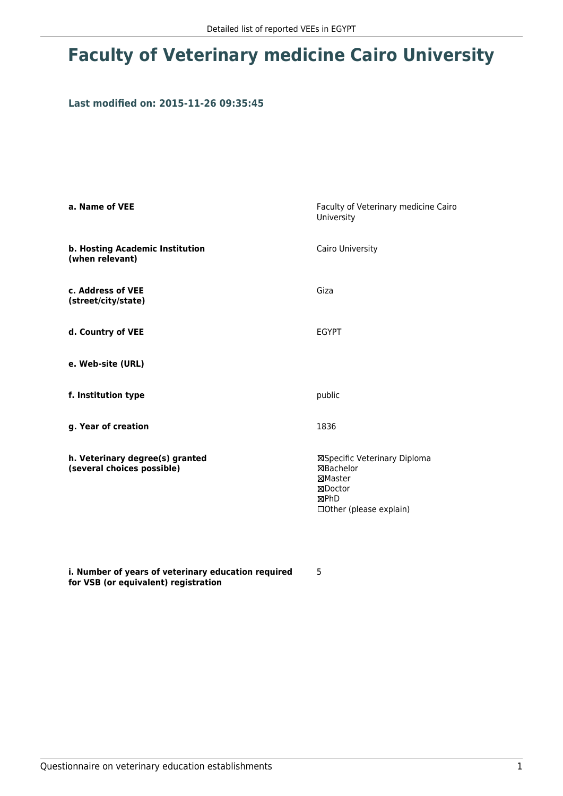## **Faculty of Veterinary medicine Cairo University**

## **Last modified on: 2015-11-26 09:35:45**

| a. Name of VEE                                                | Faculty of Veterinary medicine Cairo<br>University                                                       |
|---------------------------------------------------------------|----------------------------------------------------------------------------------------------------------|
| b. Hosting Academic Institution<br>(when relevant)            | Cairo University                                                                                         |
| c. Address of VEE<br>(street/city/state)                      | Giza                                                                                                     |
| d. Country of VEE                                             | <b>EGYPT</b>                                                                                             |
| e. Web-site (URL)                                             |                                                                                                          |
| f. Institution type                                           | public                                                                                                   |
| g. Year of creation                                           | 1836                                                                                                     |
| h. Veterinary degree(s) granted<br>(several choices possible) | ⊠Specific Veterinary Diploma<br>⊠Bachelor<br>⊠Master<br>⊠Doctor<br>⊠PhD<br>$\Box$ Other (please explain) |

**i. Number of years of veterinary education required for VSB (or equivalent) registration**

5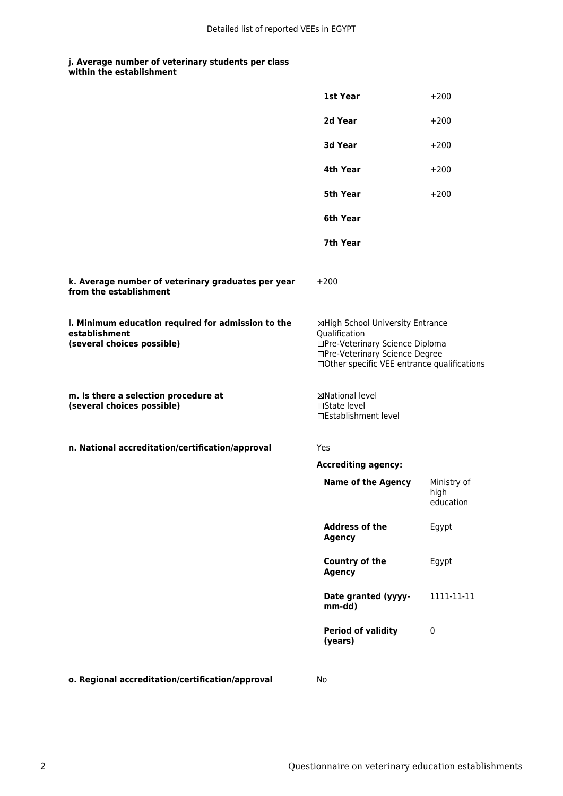## **j. Average number of veterinary students per class within the establishment**

|                                                                                                   | 1st Year                                                                                                                                                              | $+200$                           |
|---------------------------------------------------------------------------------------------------|-----------------------------------------------------------------------------------------------------------------------------------------------------------------------|----------------------------------|
|                                                                                                   | 2d Year                                                                                                                                                               | $+200$                           |
|                                                                                                   | 3d Year                                                                                                                                                               | $+200$                           |
|                                                                                                   | 4th Year                                                                                                                                                              | $+200$                           |
|                                                                                                   | <b>5th Year</b>                                                                                                                                                       | $+200$                           |
|                                                                                                   | 6th Year                                                                                                                                                              |                                  |
|                                                                                                   | 7th Year                                                                                                                                                              |                                  |
| k. Average number of veterinary graduates per year<br>from the establishment                      | $+200$                                                                                                                                                                |                                  |
| I. Minimum education required for admission to the<br>establishment<br>(several choices possible) | ⊠High School University Entrance<br>Qualification<br>□Pre-Veterinary Science Diploma<br>□Pre-Veterinary Science Degree<br>□Other specific VEE entrance qualifications |                                  |
| m. Is there a selection procedure at<br>(several choices possible)                                | ⊠National level<br>□State level<br>□Establishment level                                                                                                               |                                  |
| n. National accreditation/certification/approval                                                  | Yes                                                                                                                                                                   |                                  |
|                                                                                                   | <b>Accrediting agency:</b>                                                                                                                                            |                                  |
|                                                                                                   | <b>Name of the Agency</b>                                                                                                                                             | Ministry of<br>high<br>education |
|                                                                                                   | <b>Address of the</b><br><b>Agency</b>                                                                                                                                | Egypt                            |
|                                                                                                   | Country of the<br><b>Agency</b>                                                                                                                                       | Egypt                            |
|                                                                                                   | Date granted (yyyy-<br>mm-dd)                                                                                                                                         | 1111-11-11                       |
|                                                                                                   | <b>Period of validity</b><br>(years)                                                                                                                                  | 0                                |
| o. Regional accreditation/certification/approval                                                  | No                                                                                                                                                                    |                                  |